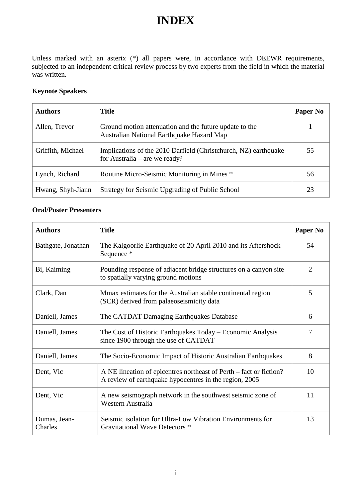## **INDEX**

Unless marked with an asterix (\*) all papers were, in accordance with DEEWR requirements, subjected to an independent critical review process by two experts from the field in which the material was written.

## **Keynote Speakers**

| <b>Authors</b>    | <b>Title</b>                                                                                        | Paper No |
|-------------------|-----------------------------------------------------------------------------------------------------|----------|
| Allen, Trevor     | Ground motion attenuation and the future update to the<br>Australian National Earthquake Hazard Map |          |
| Griffith, Michael | Implications of the 2010 Darfield (Christchurch, NZ) earthquake<br>for Australia – are we ready?    | 55       |
| Lynch, Richard    | Routine Micro-Seismic Monitoring in Mines *                                                         | 56       |
| Hwang, Shyh-Jiann | Strategy for Seismic Upgrading of Public School                                                     | 23       |

## **Oral/Poster Presenters**

| <b>Authors</b>          | <b>Title</b>                                                                                                                 | Paper No       |
|-------------------------|------------------------------------------------------------------------------------------------------------------------------|----------------|
| Bathgate, Jonathan      | The Kalgoorlie Earthquake of 20 April 2010 and its Aftershock<br>Sequence *                                                  | 54             |
| Bi, Kaiming             | Pounding response of adjacent bridge structures on a canyon site<br>to spatially varying ground motions                      | $\overline{2}$ |
| Clark, Dan              | Mmax estimates for the Australian stable continental region<br>(SCR) derived from palaeoseismicity data                      | 5              |
| Daniell, James          | The CATDAT Damaging Earthquakes Database                                                                                     | 6              |
| Daniell, James          | The Cost of Historic Earthquakes Today – Economic Analysis<br>since 1900 through the use of CATDAT                           | 7              |
| Daniell, James          | The Socio-Economic Impact of Historic Australian Earthquakes                                                                 | 8              |
| Dent, Vic               | A NE lineation of epicentres northeast of Perth – fact or fiction?<br>A review of earthquake hypocentres in the region, 2005 | 10             |
| Dent, Vic               | A new seismograph network in the southwest seismic zone of<br>Western Australia                                              | 11             |
| Dumas, Jean-<br>Charles | Seismic isolation for Ultra-Low Vibration Environments for<br>Gravitational Wave Detectors *                                 | 13             |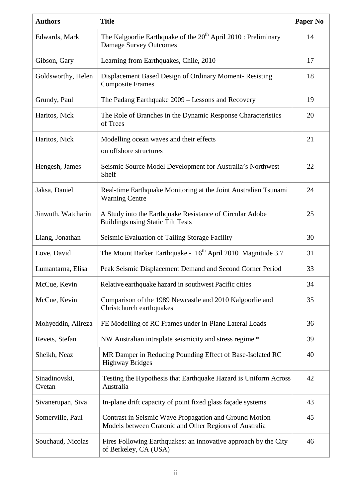| <b>Authors</b>          | <b>Title</b>                                                                                                     | <b>Paper No</b> |
|-------------------------|------------------------------------------------------------------------------------------------------------------|-----------------|
| Edwards, Mark           | The Kalgoorlie Earthquake of the 20 <sup>th</sup> April 2010 : Preliminary<br><b>Damage Survey Outcomes</b>      | 14              |
| Gibson, Gary            | Learning from Earthquakes, Chile, 2010                                                                           | 17              |
| Goldsworthy, Helen      | Displacement Based Design of Ordinary Moment-Resisting<br><b>Composite Frames</b>                                | 18              |
| Grundy, Paul            | The Padang Earthquake 2009 – Lessons and Recovery                                                                | 19              |
| Haritos, Nick           | The Role of Branches in the Dynamic Response Characteristics<br>of Trees                                         | 20              |
| Haritos, Nick           | Modelling ocean waves and their effects                                                                          | 21              |
|                         | on offshore structures                                                                                           |                 |
| Hengesh, James          | Seismic Source Model Development for Australia's Northwest<br>Shelf                                              | 22              |
| Jaksa, Daniel           | Real-time Earthquake Monitoring at the Joint Australian Tsunami<br><b>Warning Centre</b>                         | 24              |
| Jinwuth, Watcharin      | A Study into the Earthquake Resistance of Circular Adobe<br><b>Buildings using Static Tilt Tests</b>             | 25              |
| Liang, Jonathan         | Seismic Evaluation of Tailing Storage Facility                                                                   | 30              |
| Love, David             | The Mount Barker Earthquake - 16 <sup>th</sup> April 2010 Magnitude 3.7                                          | 31              |
| Lumantarna, Elisa       | Peak Seismic Displacement Demand and Second Corner Period                                                        | 33              |
| McCue, Kevin            | Relative earthquake hazard in southwest Pacific cities                                                           | 34              |
| McCue, Kevin            | Comparison of the 1989 Newcastle and 2010 Kalgoorlie and<br>Christchurch earthquakes                             | 35              |
| Mohyeddin, Alireza      | FE Modelling of RC Frames under in-Plane Lateral Loads                                                           | 36              |
| Revets, Stefan          | NW Australian intraplate seismicity and stress regime *                                                          | 39              |
| Sheikh, Neaz            | MR Damper in Reducing Pounding Effect of Base-Isolated RC<br><b>Highway Bridges</b>                              | 40              |
| Sinadinovski,<br>Cvetan | Testing the Hypothesis that Earthquake Hazard is Uniform Across<br>Australia                                     | 42              |
| Sivanerupan, Siva       | In-plane drift capacity of point fixed glass façade systems                                                      | 43              |
| Somerville, Paul        | Contrast in Seismic Wave Propagation and Ground Motion<br>Models between Cratonic and Other Regions of Australia | 45              |
| Souchaud, Nicolas       | Fires Following Earthquakes: an innovative approach by the City<br>of Berkeley, CA (USA)                         | 46              |